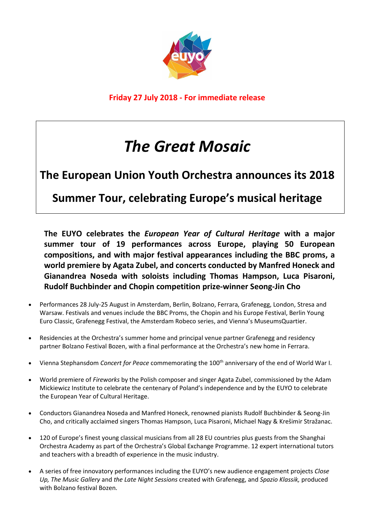

**Friday 27 July 2018 - For immediate release** 

## *The Great Mosaic*

## **The European Union Youth Orchestra announces its 2018**

**Summer Tour, celebrating Europe's musical heritage**

**The EUYO celebrates the** *European Year of Cultural Heritage* **with a major summer tour of 19 performances across Europe, playing 50 European compositions, and with major festival appearances including the BBC proms, a world premiere by Agata Zubel, and concerts conducted by Manfred Honeck and Gianandrea Noseda with soloists including Thomas Hampson, Luca Pisaroni, Rudolf Buchbinder and Chopin competition prize-winner Seong-Jin Cho**

- Performances 28 July-25 August in Amsterdam, Berlin, Bolzano, Ferrara, Grafenegg, London, Stresa and Warsaw. Festivals and venues include the BBC Proms, the Chopin and his Europe Festival, Berlin Young Euro Classic, Grafenegg Festival, the Amsterdam Robeco series, and Vienna's MuseumsQuartier.
- Residencies at the Orchestra's summer home and principal venue partner Grafenegg and residency partner Bolzano Festival Bozen, with a final performance at the Orchestra's new home in Ferrara.
- Vienna Stephansdom *Concert for Peace* commemorating the 100<sup>th</sup> anniversary of the end of World War I.
- World premiere of *Fireworks* by the Polish composer and singer Agata Zubel, commissioned by the Adam Mickiewicz Institute to celebrate the centenary of Poland's independence and by the EUYO to celebrate the European Year of Cultural Heritage.
- Conductors Gianandrea Noseda and Manfred Honeck, renowned pianists Rudolf Buchbinder & Seong-Jin Cho, and critically acclaimed singers Thomas Hampson, Luca Pisaroni, Michael Nagy & Krešimir Stražanac.
- 120 of Europe's finest young classical musicians from all 28 EU countries plus guests from the Shanghai Orchestra Academy as part of the Orchestra's Global Exchange Programme. 12 expert international tutors and teachers with a breadth of experience in the music industry.
- A series of free innovatory performances including the EUYO's new audience engagement projects *Close Up, The Music Gallery* and *the Late Night Sessions* created with Grafenegg, and *Spazio Klassik,* produced with Bolzano festival Bozen.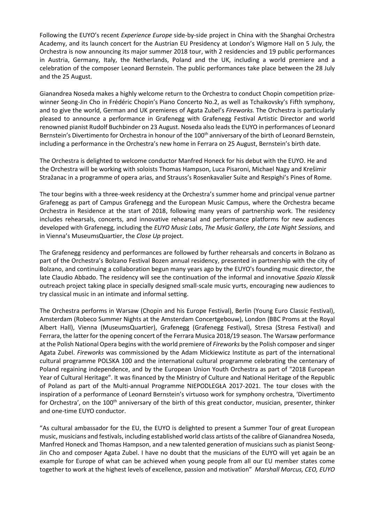Following the EUYO's recent *Experience Europe* side-by-side project in China with the Shanghai Orchestra Academy, and its launch concert for the Austrian EU Presidency at London's Wigmore Hall on 5 July, the Orchestra is now announcing its major summer 2018 tour, with 2 residencies and 19 public performances in Austria, Germany, Italy, the Netherlands, Poland and the UK, including a world premiere and a celebration of the composer Leonard Bernstein. The public performances take place between the 28 July and the 25 August.

Gianandrea Noseda makes a highly welcome return to the Orchestra to conduct Chopin competition prizewinner Seong-Jin Cho in Frédéric Chopin's Piano Concerto No.2, as well as Tchaikovsky's Fifth symphony, and to give the world, German and UK premieres of Agata Zubel's *Fireworks.* The Orchestra is particularly pleased to announce a performance in Grafenegg with Grafenegg Festival Artistic Director and world renowned pianist Rudolf Buchbinder on 23 August. Noseda also leads the EUYO in performances of Leonard Bernstein's Divertimento for Orchestra in honour of the 100<sup>th</sup> anniversary of the birth of Leonard Bernstein, including a performance in the Orchestra's new home in Ferrara on 25 August, Bernstein's birth date.

The Orchestra is delighted to welcome conductor Manfred Honeck for his debut with the EUYO. He and the Orchestra will be working with soloists Thomas Hampson, Luca Pisaroni, Michael Nagy and Krešimir Stražanac in a programme of opera arias, and Strauss's Rosenkavalier Suite and Respighi's Pines of Rome.

The tour begins with a three-week residency at the Orchestra's summer home and principal venue partner Grafenegg as part of Campus Grafenegg and the European Music Campus, where the Orchestra became Orchestra in Residence at the start of 2018, following many years of partnership work. The residency includes rehearsals, concerts, and innovative rehearsal and performance platforms for new audiences developed with Grafenegg, including the *EUYO Music Labs*, *The Music Gallery, the Late Night Sessions,* and in Vienna's MuseumsQuartier, the *Close Up* project.

The Grafenegg residency and performances are followed by further rehearsals and concerts in Bolzano as part of the Orchestra's Bolzano Festival Bozen annual residency, presented in partnership with the city of Bolzano, and continuing a collaboration begun many years ago by the EUYO's founding music director, the late Claudio Abbado. The residency will see the continuation of the informal and innovative *Spazio Klassik* outreach project taking place in specially designed small-scale music yurts, encouraging new audiences to try classical music in an intimate and informal setting.

The Orchestra performs in Warsaw (Chopin and his Europe Festival), Berlin (Young Euro Classic Festival), Amsterdam (Robeco Summer Nights at the Amsterdam Concertgebouw), London (BBC Proms at the Royal Albert Hall), Vienna (MuseumsQuartier), Grafenegg (Grafenegg Festival), Stresa (Stresa Festival) and Ferrara, the latter for the opening concert of the Ferrara Musica 2018/19 season. The Warsaw performance at the Polish National Opera begins with the world premiere of *Fireworks* by the Polish composer and singer Agata Zubel. *Fireworks* was commissioned by the Adam Mickiewicz Institute as part of the international cultural programme POLSKA 100 and the international cultural programme celebrating the centenary of Poland regaining independence, and by the European Union Youth Orchestra as part of "2018 European Year of Cultural Heritage". It was financed by the Ministry of Culture and National Heritage of the Republic of Poland as part of the Multi-annual Programme NIEPODLEGŁA 2017-2021. The tour closes with the inspiration of a performance of Leonard Bernstein's virtuoso work for symphony orchestra, 'Divertimento for Orchestra', on the  $100<sup>th</sup>$  anniversary of the birth of this great conductor, musician, presenter, thinker and one-time EUYO conductor.

"As cultural ambassador for the EU, the EUYO is delighted to present a Summer Tour of great European music, musicians and festivals, including established world class artists of the calibre of Gianandrea Noseda, Manfred Honeck and Thomas Hampson, and a new talented generation of musicians such as pianist Seong-Jin Cho and composer Agata Zubel. I have no doubt that the musicians of the EUYO will yet again be an example for Europe of what can be achieved when young people from all our EU member states come together to work at the highest levels of excellence, passion and motivation" *Marshall Marcus, CEO, EUYO*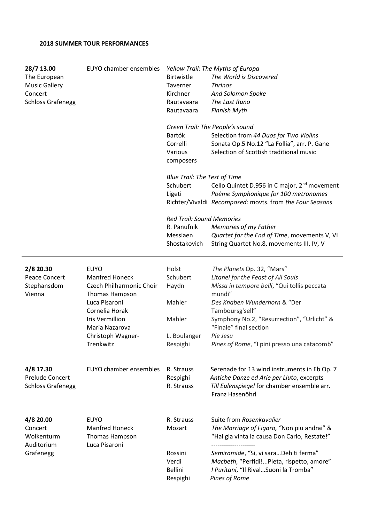| 28/7 13.00<br>The European<br><b>Music Gallery</b><br>Concert<br><b>Schloss Grafenegg</b> | <b>EUYO chamber ensembles</b>                                                                                                                                                                       | Birtwistle<br>Taverner<br>Kirchner<br>Rautavaara<br>Rautavaara             | Yellow Trail: The Myths of Europa<br>The World is Discovered<br><b>Thrinos</b><br>And Solomon Spoke<br>The Last Runo<br><b>Finnish Myth</b>                                                                                                                                                                     |
|-------------------------------------------------------------------------------------------|-----------------------------------------------------------------------------------------------------------------------------------------------------------------------------------------------------|----------------------------------------------------------------------------|-----------------------------------------------------------------------------------------------------------------------------------------------------------------------------------------------------------------------------------------------------------------------------------------------------------------|
|                                                                                           |                                                                                                                                                                                                     | Bartók<br>Correlli<br>Various<br>composers                                 | Green Trail: The People's sound<br>Selection from 44 Duos for Two Violins<br>Sonata Op.5 No.12 "La Follia", arr. P. Gane<br>Selection of Scottish traditional music                                                                                                                                             |
|                                                                                           |                                                                                                                                                                                                     | <b>Blue Trail: The Test of Time</b><br>Schubert<br>Ligeti                  | Cello Quintet D.956 in C major, 2 <sup>nd</sup> movement<br>Poème Symphonique for 100 metronomes<br>Richter/Vivaldi Recomposed: movts. from the Four Seasons                                                                                                                                                    |
|                                                                                           |                                                                                                                                                                                                     | <b>Red Trail: Sound Memories</b><br>R. Panufnik                            |                                                                                                                                                                                                                                                                                                                 |
|                                                                                           |                                                                                                                                                                                                     | Messiaen                                                                   | Memories of my Father<br>Quartet for the End of Time, movements V, VI                                                                                                                                                                                                                                           |
|                                                                                           |                                                                                                                                                                                                     | Shostakovich                                                               | String Quartet No.8, movements III, IV, V                                                                                                                                                                                                                                                                       |
| 2/8 20.30<br>Peace Concert<br>Stephansdom<br>Vienna                                       | <b>EUYO</b><br><b>Manfred Honeck</b><br>Czech Philharmonic Choir<br>Thomas Hampson<br>Luca Pisaroni<br>Cornelia Horak<br><b>Iris Vermillion</b><br>Maria Nazarova<br>Christoph Wagner-<br>Trenkwitz | Holst<br>Schubert<br>Haydn<br>Mahler<br>Mahler<br>L. Boulanger<br>Respighi | The Planets Op. 32, "Mars"<br>Litanei for the Feast of All Souls<br>Missa in tempore belli, "Qui tollis peccata<br>mundi"<br>Des Knaben Wunderhorn & "Der<br>Tamboursg'sell"<br>Symphony No.2, "Resurrection", "Urlicht" &<br>"Finale" final section<br>Pie Jesu<br>Pines of Rome, "I pini presso una catacomb" |
| 4/8 17.30<br><b>Prelude Concert</b><br><b>Schloss Grafenegg</b>                           | <b>EUYO chamber ensembles</b>                                                                                                                                                                       | R. Strauss<br>Respighi<br>R. Strauss                                       | Serenade for 13 wind instruments in Eb Op. 7<br>Antiche Danze ed Arie per Liuto, excerpts<br>Till Eulenspiegel for chamber ensemble arr.<br>Franz Hasenöhrl                                                                                                                                                     |
| 4/8 20.00<br>Concert<br>Wolkenturm<br>Auditorium<br>Grafenegg                             | <b>EUYO</b><br><b>Manfred Honeck</b><br>Thomas Hampson<br>Luca Pisaroni                                                                                                                             | R. Strauss<br>Mozart                                                       | Suite from Rosenkavalier<br>The Marriage of Figaro, "Non piu andrai" &<br>"Hai gia vinta la causa Don Carlo, Restate!"<br>.                                                                                                                                                                                     |
|                                                                                           |                                                                                                                                                                                                     | Rossini<br>Verdi<br><b>Bellini</b><br>Respighi                             | Semiramide, "Si, vi sara Deh ti ferma"<br>Macbeth, "Perfidi!Pieta, rispetto, amore"<br>I Puritani, "Il Rival Suoni la Tromba"<br>Pines of Rome                                                                                                                                                                  |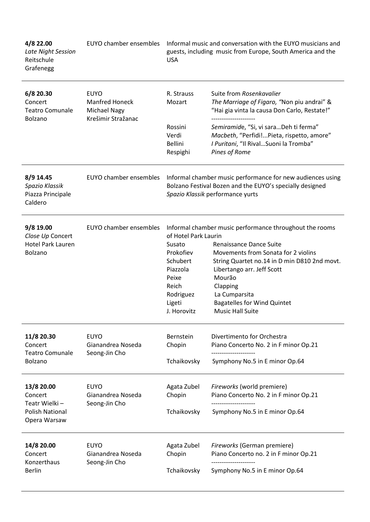| 4/8 22.00<br>Late Night Session<br>Reitschule<br>Grafenegg                       | EUYO chamber ensembles                                                            | Informal music and conversation with the EUYO musicians and<br>guests, including music from Europe, South America and the<br><b>USA</b>                    |                                                                                                                                                                                                                                                                                                                 |
|----------------------------------------------------------------------------------|-----------------------------------------------------------------------------------|------------------------------------------------------------------------------------------------------------------------------------------------------------|-----------------------------------------------------------------------------------------------------------------------------------------------------------------------------------------------------------------------------------------------------------------------------------------------------------------|
| 6/8 20.30<br>Concert<br><b>Teatro Comunale</b><br>Bolzano                        | <b>EUYO</b><br><b>Manfred Honeck</b><br><b>Michael Nagy</b><br>Krešimir Stražanac | R. Strauss<br>Mozart                                                                                                                                       | Suite from Rosenkavalier<br>The Marriage of Figaro, "Non piu andrai" &<br>"Hai gia vinta la causa Don Carlo, Restate!"                                                                                                                                                                                          |
|                                                                                  |                                                                                   | Rossini<br>Verdi<br><b>Bellini</b><br>Respighi                                                                                                             | Semiramide, "Si, vi saraDeh ti ferma"<br>Macbeth, "Perfidi!Pieta, rispetto, amore"<br>I Puritani, "Il Rival Suoni la Tromba"<br>Pines of Rome                                                                                                                                                                   |
| 8/9 14.45<br>Spazio Klassik<br>Piazza Principale<br>Caldero                      | <b>EUYO chamber ensembles</b>                                                     | Informal chamber music performance for new audiences using<br>Bolzano Festival Bozen and the EUYO's specially designed<br>Spazio Klassik performance yurts |                                                                                                                                                                                                                                                                                                                 |
| 9/8 19.00<br>Close Up Concert<br><b>Hotel Park Lauren</b><br>Bolzano             | EUYO chamber ensembles                                                            | of Hotel Park Laurin<br>Susato<br>Prokofiev<br>Schubert<br>Piazzola<br>Peixe<br>Reich<br>Rodriguez<br>Ligeti<br>J. Horovitz                                | Informal chamber music performance throughout the rooms<br>Renaissance Dance Suite<br>Movements from Sonata for 2 violins<br>String Quartet no.14 in D min D810 2nd movt.<br>Libertango arr. Jeff Scott<br>Mourão<br>Clapping<br>La Cumparsita<br><b>Bagatelles for Wind Quintet</b><br><b>Music Hall Suite</b> |
| 11/8 20.30<br>Concert<br><b>Teatro Comunale</b><br>Bolzano                       | <b>EUYO</b><br>Gianandrea Noseda<br>Seong-Jin Cho                                 | Bernstein<br>Chopin<br>Tchaikovsky                                                                                                                         | Divertimento for Orchestra<br>Piano Concerto No. 2 in F minor Op.21<br>--------------------<br>Symphony No.5 in E minor Op.64                                                                                                                                                                                   |
| 13/8 20.00<br>Concert<br>Teatr Wielki-<br><b>Polish National</b><br>Opera Warsaw | <b>EUYO</b><br>Gianandrea Noseda<br>Seong-Jin Cho                                 | Agata Zubel<br>Chopin<br>Tchaikovsky                                                                                                                       | Fireworks (world premiere)<br>Piano Concerto No. 2 in F minor Op.21<br>Symphony No.5 in E minor Op.64                                                                                                                                                                                                           |
| 14/8 20.00<br>Concert<br>Konzerthaus<br><b>Berlin</b>                            | <b>EUYO</b><br>Gianandrea Noseda<br>Seong-Jin Cho                                 | Agata Zubel<br>Chopin<br>Tchaikovsky                                                                                                                       | Fireworks (German premiere)<br>Piano Concerto no. 2 in F minor Op.21<br>Symphony No.5 in E minor Op.64                                                                                                                                                                                                          |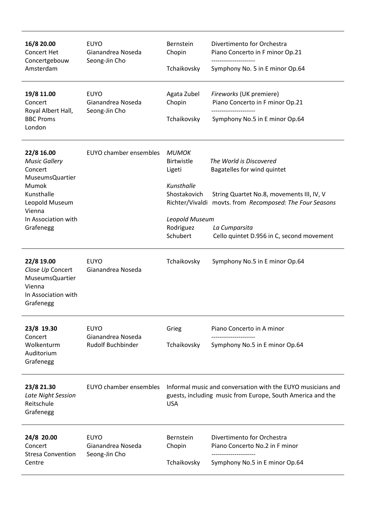| 16/8 20.00<br>Concert Het<br>Concertgebouw<br>Amsterdam                                                                                                        | <b>EUYO</b><br>Gianandrea Noseda<br>Seong-Jin Cho            | Bernstein<br>Chopin<br>Tchaikovsky                                                                                                      | Divertimento for Orchestra<br>Piano Concerto in F minor Op.21<br>Symphony No. 5 in E minor Op.64                                                                                                                              |
|----------------------------------------------------------------------------------------------------------------------------------------------------------------|--------------------------------------------------------------|-----------------------------------------------------------------------------------------------------------------------------------------|-------------------------------------------------------------------------------------------------------------------------------------------------------------------------------------------------------------------------------|
| 19/8 11.00<br>Concert<br>Royal Albert Hall,<br><b>BBC Proms</b><br>London                                                                                      | <b>EUYO</b><br>Gianandrea Noseda<br>Seong-Jin Cho            | Agata Zubel<br>Chopin<br>Tchaikovsky                                                                                                    | Fireworks (UK premiere)<br>Piano Concerto in F minor Op.21<br>Symphony No.5 in E minor Op.64                                                                                                                                  |
| 22/8 16.00<br><b>Music Gallery</b><br>Concert<br><b>MuseumsQuartier</b><br>Mumok<br>Kunsthalle<br>Leopold Museum<br>Vienna<br>In Association with<br>Grafenegg | EUYO chamber ensembles                                       | <b>MUMOK</b><br><b>Birtwistle</b><br>Ligeti<br>Kunsthalle<br>Shostakovich<br>Leopold Museum<br>Rodriguez<br>Schubert                    | The World is Discovered<br>Bagatelles for wind quintet<br>String Quartet No.8, movements III, IV, V<br>Richter/Vivaldi movts. from Recomposed: The Four Seasons<br>La Cumparsita<br>Cello quintet D.956 in C, second movement |
| 22/8 19.00<br>Close Up Concert<br><b>MuseumsQuartier</b><br>Vienna<br>In Association with<br>Grafenegg                                                         | <b>EUYO</b><br>Gianandrea Noseda                             | Tchaikovsky                                                                                                                             | Symphony No.5 in E minor Op.64                                                                                                                                                                                                |
| 23/8 19.30<br>Concert<br>Wolkenturm<br>Auditorium<br>Grafenegg                                                                                                 | <b>EUYO</b><br>Gianandrea Noseda<br><b>Rudolf Buchbinder</b> | Grieg<br>Tchaikovsky                                                                                                                    | Piano Concerto in A minor<br>Symphony No.5 in E minor Op.64                                                                                                                                                                   |
| 23/8 21.30<br>Late Night Session<br>Reitschule<br>Grafenegg                                                                                                    | EUYO chamber ensembles                                       | Informal music and conversation with the EUYO musicians and<br>guests, including music from Europe, South America and the<br><b>USA</b> |                                                                                                                                                                                                                               |
| 24/8 20.00<br>Concert<br><b>Stresa Convention</b><br>Centre                                                                                                    | <b>EUYO</b><br>Gianandrea Noseda<br>Seong-Jin Cho            | Bernstein<br>Chopin<br>Tchaikovsky                                                                                                      | Divertimento for Orchestra<br>Piano Concerto No.2 in F minor<br>Symphony No.5 in E minor Op.64                                                                                                                                |